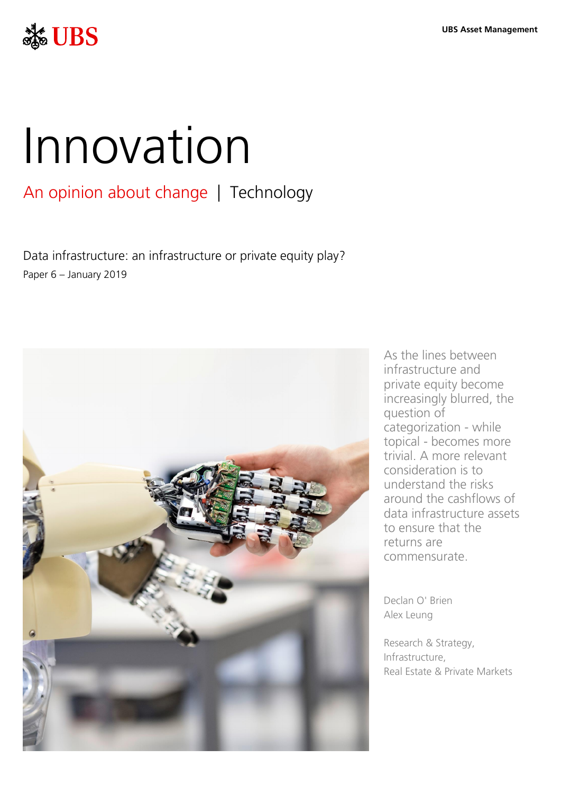

# Innovation

# An opinion about change | Technology

Data infrastructure: an infrastructure or private equity play? Paper 6 – January 2019



As the lines between infrastructure and private equity become increasingly blurred, the question of categorization - while topical - becomes more trivial. A more relevant consideration is to understand the risks around the cashflows of data infrastructure assets to ensure that the returns are commensurate.

Declan O' Brien Alex Leung

Research & Strategy, Infrastructure, Real Estate & Private Markets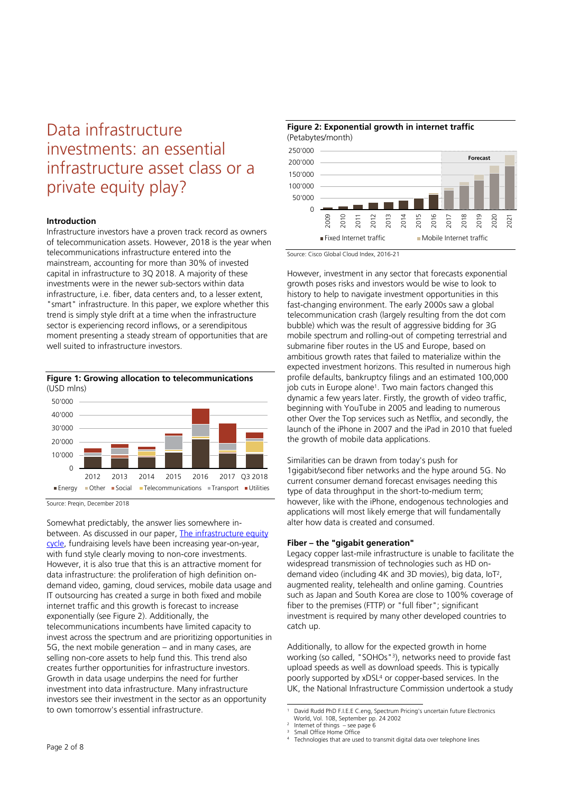# Data infrastructure investments: an essential infrastructure asset class or a private equity play?

## **Introduction**

Infrastructure investors have a proven track record as owners of telecommunication assets. However, 2018 is the year when telecommunications infrastructure entered into the mainstream, accounting for more than 30% of invested capital in infrastructure to 3Q 2018. A majority of these investments were in the newer sub-sectors within data infrastructure, i.e. fiber, data centers and, to a lesser extent, "smart" infrastructure. In this paper, we explore whether this trend is simply style drift at a time when the infrastructure sector is experiencing record inflows, or a serendipitous moment presenting a steady stream of opportunities that are well suited to infrastructure investors.





Source: Preqin, December 2018

Somewhat predictably, the answer lies somewhere inbetween. As discussed in our paper, The infrastructure equity [cycle,](https://www.ubs.com/global/en/asset-management/insights/asset-class-research/real-assets/2018/2018-08-infrastructure-equity-cycle.html) fundraising levels have been increasing year-on-year, with fund style clearly moving to non-core investments. However, it is also true that this is an attractive moment for data infrastructure: the proliferation of high definition ondemand video, gaming, cloud services, mobile data usage and IT outsourcing has created a surge in both fixed and mobile internet traffic and this growth is forecast to increase exponentially (see Figure 2). Additionally, the telecommunications incumbents have limited capacity to invest across the spectrum and are prioritizing opportunities in 5G, the next mobile generation – and in many cases, are selling non-core assets to help fund this. This trend also creates further opportunities for infrastructure investors. Growth in data usage underpins the need for further investment into data infrastructure. Many infrastructure investors see their investment in the sector as an opportunity to own tomorrow's essential infrastructure.



Source: Cisco Global Cloud Index, 2016-21

However, investment in any sector that forecasts exponential growth poses risks and investors would be wise to look to history to help to navigate investment opportunities in this fast-changing environment. The early 2000s saw a global telecommunication crash (largely resulting from the dot com bubble) which was the result of aggressive bidding for 3G mobile spectrum and rolling-out of competing terrestrial and submarine fiber routes in the US and Europe, based on ambitious growth rates that failed to materialize within the expected investment horizons. This resulted in numerous high profile defaults, bankruptcy filings and an estimated 100,000 job cuts in Europe alone<sup>1</sup> . Two main factors changed this dynamic a few years later. Firstly, the growth of video traffic, beginning with YouTube in 2005 and leading to numerous other Over the Top services such as Netflix, and secondly, the launch of the iPhone in 2007 and the iPad in 2010 that fueled the growth of mobile data applications.

Similarities can be drawn from today's push for 1gigabit/second fiber networks and the hype around 5G. No current consumer demand forecast envisages needing this type of data throughput in the short-to-medium term; however, like with the iPhone, endogenous technologies and applications will most likely emerge that will fundamentally alter how data is created and consumed.

### **Fiber – the "gigabit generation"**

Legacy copper last-mile infrastructure is unable to facilitate the widespread transmission of technologies such as HD ondemand video (including 4K and 3D movies), big data, IoT<sup>2</sup> , augmented reality, telehealth and online gaming. Countries such as Japan and South Korea are close to 100% coverage of fiber to the premises (FTTP) or "full fiber"; significant investment is required by many other developed countries to catch up.

Additionally, to allow for the expected growth in home working (so called, "SOHOs" 3 ), networks need to provide fast upload speeds as well as download speeds. This is typically poorly supported by xDSL<sup>4</sup> or copper-based services. In the UK, the National Infrastructure Commission undertook a study

<sup>1</sup> 1 David Rudd PhD F.I.E.E C.eng, Spectrum Pricing's uncertain future Electronics

World, Vol. 108, September pp. 24 2002 Internet of things – see page 6

<sup>3</sup> Small Office Home Office

<sup>4</sup> Technologies that are used to transmit digital data over telephone lines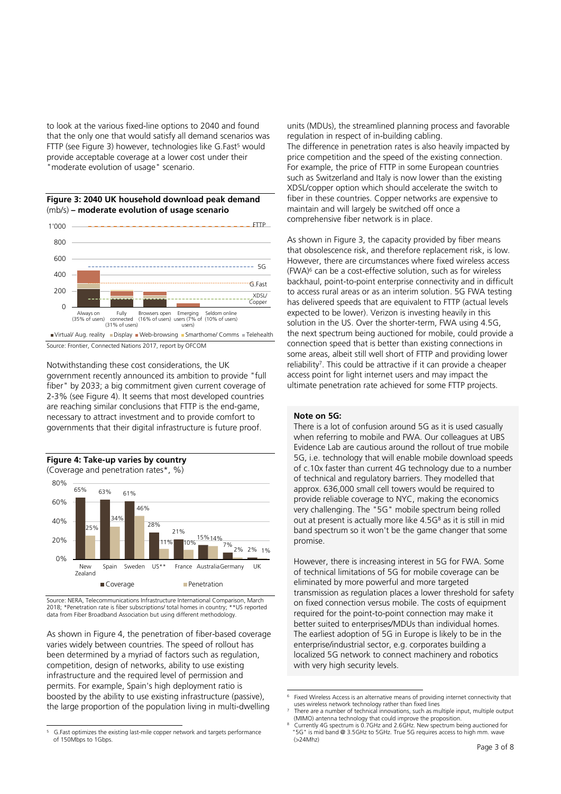to look at the various fixed-line options to 2040 and found that the only one that would satisfy all demand scenarios was FTTP (see Figure 3) however, technologies like G.Fast<sup>5</sup> would provide acceptable coverage at a lower cost under their "moderate evolution of usage" scenario.

**Figure 3: 2040 UK household download peak demand** (mb/s) **– moderate evolution of usage scenario**



Source: Frontier, Connected Nations 2017, report by OFCOM

Notwithstanding these cost considerations, the UK government recently announced its ambition to provide "full fiber" by 2033; a big commitment given current coverage of 2-3% (see Figure 4). It seems that most developed countries are reaching similar conclusions that FTTP is the end-game, necessary to attract investment and to provide comfort to governments that their digital infrastructure is future proof.



Source: NERA, Telecommunications Infrastructure International Comparison, March 2018; \*Penetration rate is fiber subscriptions/ total homes in country; \*\*US reported data from Fiber Broadband Association but using different methodology.

As shown in Figure 4, the penetration of fiber-based coverage varies widely between countries. The speed of rollout has been determined by a myriad of factors such as regulation, competition, design of networks, ability to use existing infrastructure and the required level of permission and permits. For example, Spain's high deployment ratio is boosted by the ability to use existing infrastructure (passive), the large proportion of the population living in multi-dwelling

units (MDUs), the streamlined planning process and favorable regulation in respect of in-building cabling.

The difference in penetration rates is also heavily impacted by price competition and the speed of the existing connection. For example, the price of FTTP in some European countries such as Switzerland and Italy is now lower than the existing XDSL/copper option which should accelerate the switch to fiber in these countries. Copper networks are expensive to maintain and will largely be switched off once a comprehensive fiber network is in place.

As shown in Figure 3, the capacity provided by fiber means that obsolescence risk, and therefore replacement risk, is low. However, there are circumstances where fixed wireless access (FWA)<sup>6</sup> can be a cost-effective solution, such as for wireless backhaul, point-to-point enterprise connectivity and in difficult to access rural areas or as an interim solution. 5G FWA testing has delivered speeds that are equivalent to FTTP (actual levels expected to be lower). Verizon is investing heavily in this solution in the US. Over the shorter-term, FWA using 4.5G, the next spectrum being auctioned for mobile, could provide a connection speed that is better than existing connections in some areas, albeit still well short of FTTP and providing lower reliability<sup>7</sup> . This could be attractive if it can provide a cheaper access point for light internet users and may impact the ultimate penetration rate achieved for some FTTP projects.

#### **Note on 5G:**

1

There is a lot of confusion around 5G as it is used casually when referring to mobile and FWA. Our colleagues at UBS Evidence Lab are cautious around the rollout of true mobile 5G, i.e. technology that will enable mobile download speeds of c.10x faster than current 4G technology due to a number of technical and regulatory barriers. They modelled that approx. 636,000 small cell towers would be required to provide reliable coverage to NYC, making the economics very challenging. The "5G" mobile spectrum being rolled out at present is actually more like 4.5G<sup>8</sup> as it is still in mid band spectrum so it won't be the game changer that some promise.

However, there is increasing interest in 5G for FWA. Some of technical limitations of 5G for mobile coverage can be eliminated by more powerful and more targeted transmission as regulation places a lower threshold for safety on fixed connection versus mobile. The costs of equipment required for the point-to-point connection may make it better suited to enterprises/MDUs than individual homes. The earliest adoption of 5G in Europe is likely to be in the enterprise/industrial sector, e.g. corporates building a localized 5G network to connect machinery and robotics with very high security levels.

 $\overline{a}$ 

<sup>6</sup> Fixed Wireless Access is an alternative means of providing internet connectivity that uses wireless network technology rather than fixed lines

<sup>7</sup> There are a number of technical innovations, such as multiple input, multiple output

<sup>5</sup> G.Fast optimizes the existing last-mile copper network and targets performance of 150Mbps to 1Gbps.

 <sup>(</sup>MIMO) antenna technology that could improve the proposition. Currently 4G spectrum is 0.7GHz and 2.6GHz. New spectrum being auctioned for 8 "5G" is mid band @ 3.5GHz to 5GHz. True 5G requires access to high mm. wave (>24Mhz)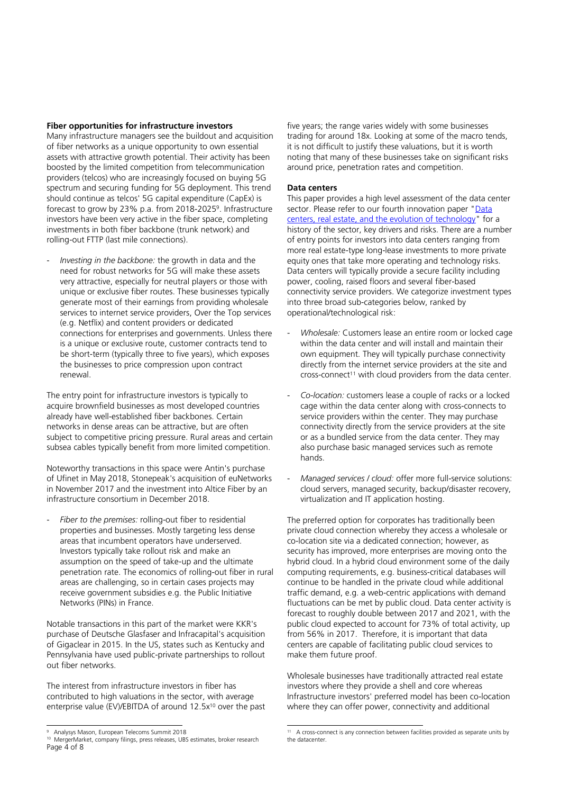#### **Fiber opportunities for infrastructure investors**

Many infrastructure managers see the buildout and acquisition of fiber networks as a unique opportunity to own essential assets with attractive growth potential. Their activity has been boosted by the limited competition from telecommunication providers (telcos) who are increasingly focused on buying 5G spectrum and securing funding for 5G deployment. This trend should continue as telcos' 5G capital expenditure (CapEx) is forecast to grow by 23% p.a. from 2018-2025<sup>9</sup> . Infrastructure investors have been very active in the fiber space, completing investments in both fiber backbone (trunk network) and rolling-out FTTP (last mile connections).

- *Investing in the backbone:* the growth in data and the need for robust networks for 5G will make these assets very attractive, especially for neutral players or those with unique or exclusive fiber routes. These businesses typically generate most of their earnings from providing wholesale services to internet service providers, Over the Top services (e.g. Netflix) and content providers or dedicated connections for enterprises and governments. Unless there is a unique or exclusive route, customer contracts tend to be short-term (typically three to five years), which exposes the businesses to price compression upon contract renewal.

The entry point for infrastructure investors is typically to acquire brownfield businesses as most developed countries already have well-established fiber backbones. Certain networks in dense areas can be attractive, but are often subject to competitive pricing pressure. Rural areas and certain subsea cables typically benefit from more limited competition.

Noteworthy transactions in this space were Antin's purchase of Ufinet in May 2018, Stonepeak's acquisition of euNetworks in November 2017 and the investment into Altice Fiber by an infrastructure consortium in December 2018.

Fiber to the premises: rolling-out fiber to residential properties and businesses. Mostly targeting less dense areas that incumbent operators have underserved. Investors typically take rollout risk and make an assumption on the speed of take-up and the ultimate penetration rate. The economics of rolling-out fiber in rural areas are challenging, so in certain cases projects may receive government subsidies e.g. the Public Initiative Networks (PINs) in France.

Notable transactions in this part of the market were KKR's purchase of Deutsche Glasfaser and Infracapital's acquisition of Gigaclear in 2015. In the US, states such as Kentucky and Pennsylvania have used public-private partnerships to rollout out fiber networks.

The interest from infrastructure investors in fiber has contributed to high valuations in the sector, with average enterprise value (EV)/EBITDA of around 12.5x<sup>10</sup> over the past

five years; the range varies widely with some businesses trading for around 18x. Looking at some of the macro tends, it is not difficult to justify these valuations, but it is worth noting that many of these businesses take on significant risks around price, penetration rates and competition.

#### **Data centers**

This paper provides a high level assessment of the data center sector. Please refer to our fourth innovation paper "Data [centers, real estate, and the evolution of technology"](https://www.ubs.com/global/en/asset-management/insights/asset-class-research/real-assets/2018/innovation-paper-4.html) for a history of the sector, key drivers and risks. There are a number of entry points for investors into data centers ranging from more real estate-type long-lease investments to more private equity ones that take more operating and technology risks. Data centers will typically provide a secure facility including power, cooling, raised floors and several fiber-based connectivity service providers. We categorize investment types into three broad sub-categories below, ranked by operational/technological risk:

- Wholesale: Customers lease an entire room or locked cage within the data center and will install and maintain their own equipment. They will typically purchase connectivity directly from the internet service providers at the site and cross-connect<sup>11</sup> with cloud providers from the data center.
- *Co-location:* customers lease a couple of racks or a locked cage within the data center along with cross-connects to service providers within the center. They may purchase connectivity directly from the service providers at the site or as a bundled service from the data center. They may also purchase basic managed services such as remote hands.
- Managed services / cloud: offer more full-service solutions: cloud servers, managed security, backup/disaster recovery, virtualization and IT application hosting.

The preferred option for corporates has traditionally been private cloud connection whereby they access a wholesale or co-location site via a dedicated connection; however, as security has improved, more enterprises are moving onto the hybrid cloud. In a hybrid cloud environment some of the daily computing requirements, e.g. business-critical databases will continue to be handled in the private cloud while additional traffic demand, e.g. a web-centric applications with demand fluctuations can be met by public cloud. Data center activity is forecast to roughly double between 2017 and 2021, with the public cloud expected to account for 73% of total activity, up from 56% in 2017. Therefore, it is important that data centers are capable of facilitating public cloud services to make them future proof.

Wholesale businesses have traditionally attracted real estate investors where they provide a shell and core whereas Infrastructure investors' preferred model has been co-location where they can offer power, connectivity and additional

 $\overline{a}$ 9 Analysys Mason, European Telecoms Summit 2018

Page 4 of 8 10 MergerMarket, company filings, press releases, UBS estimates, broker research

 11 A cross-connect is any connection between facilities provided as separate units by the datacenter.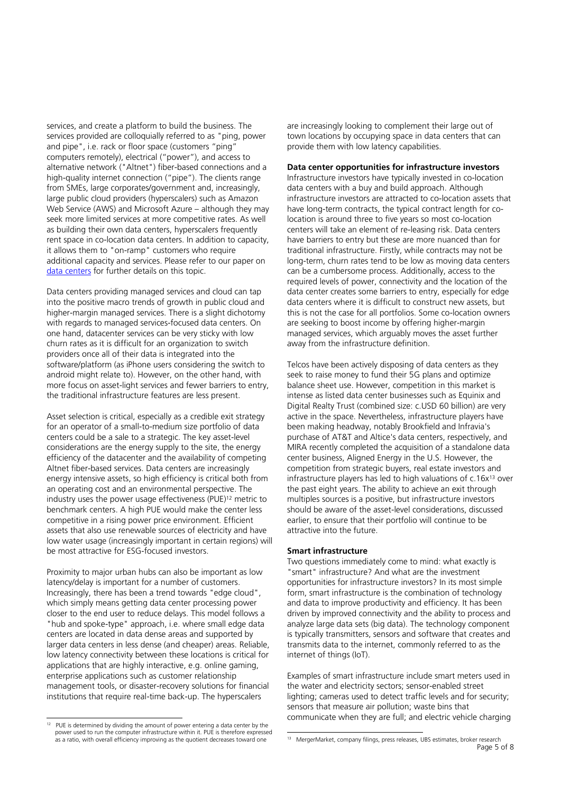services, and create a platform to build the business. The services provided are colloquially referred to as "ping, power and pipe", i.e. rack or floor space (customers "ping" computers remotely), electrical ("power"), and access to alternative network ("Altnet") fiber-based connections and a high-quality internet connection ("pipe"). The clients range from SMEs, large corporates/government and, increasingly, large public cloud providers (hyperscalers) such as Amazon Web Service (AWS) and Microsoft Azure – although they may seek more limited services at more competitive rates. As well as building their own data centers, hyperscalers frequently rent space in co-location data centers. In addition to capacity, it allows them to "on-ramp" customers who require additional capacity and services. Please refer to our paper on [data centers](https://www.ubs.com/global/en/asset-management/insights/asset-class-research/real-assets/2018/innovation-paper-4.html) for further details on this topic.

Data centers providing managed services and cloud can tap into the positive macro trends of growth in public cloud and higher-margin managed services. There is a slight dichotomy with regards to managed services-focused data centers. On one hand, datacenter services can be very sticky with low churn rates as it is difficult for an organization to switch providers once all of their data is integrated into the software/platform (as iPhone users considering the switch to android might relate to). However, on the other hand, with more focus on asset-light services and fewer barriers to entry, the traditional infrastructure features are less present.

Asset selection is critical, especially as a credible exit strategy for an operator of a small-to-medium size portfolio of data centers could be a sale to a strategic. The key asset-level considerations are the energy supply to the site, the energy efficiency of the datacenter and the availability of competing Altnet fiber-based services. Data centers are increasingly energy intensive assets, so high efficiency is critical both from an operating cost and an environmental perspective. The industry uses the power usage effectiveness (PUE)<sup>12</sup> metric to benchmark centers. A high PUE would make the center less competitive in a rising power price environment. Efficient assets that also use renewable sources of electricity and have low water usage (increasingly important in certain regions) will be most attractive for ESG-focused investors.

Proximity to major urban hubs can also be important as low latency/delay is important for a number of customers. Increasingly, there has been a trend towards "edge cloud", which simply means getting data center processing power closer to the end user to reduce delays. This model follows a "hub and spoke-type" approach, i.e. where small edge data centers are located in data dense areas and supported by larger data centers in less dense (and cheaper) areas. Reliable, low latency connectivity between these locations is critical for applications that are highly interactive, e.g. online gaming, enterprise applications such as customer relationship management tools, or disaster-recovery solutions for financial institutions that require real-time back-up. The hyperscalers

are increasingly looking to complement their large out of town locations by occupying space in data centers that can provide them with low latency capabilities.

#### **Data center opportunities for infrastructure investors**

Infrastructure investors have typically invested in co-location data centers with a buy and build approach. Although infrastructure investors are attracted to co-location assets that have long-term contracts, the typical contract length for colocation is around three to five years so most co-location centers will take an element of re-leasing risk. Data centers have barriers to entry but these are more nuanced than for traditional infrastructure. Firstly, while contracts may not be long-term, churn rates tend to be low as moving data centers can be a cumbersome process. Additionally, access to the required levels of power, connectivity and the location of the data center creates some barriers to entry, especially for edge data centers where it is difficult to construct new assets, but this is not the case for all portfolios. Some co-location owners are seeking to boost income by offering higher-margin managed services, which arguably moves the asset further away from the infrastructure definition.

Telcos have been actively disposing of data centers as they seek to raise money to fund their 5G plans and optimize balance sheet use. However, competition in this market is intense as listed data center businesses such as Equinix and Digital Realty Trust (combined size: c.USD 60 billion) are very active in the space. Nevertheless, infrastructure players have been making headway, notably Brookfield and Infravia's purchase of AT&T and Altice's data centers, respectively, and MIRA recently completed the acquisition of a standalone data center business, Aligned Energy in the U.S. However, the competition from strategic buyers, real estate investors and infrastructure players has led to high valuations of c.16x<sup>13</sup> over the past eight years. The ability to achieve an exit through multiples sources is a positive, but infrastructure investors should be aware of the asset-level considerations, discussed earlier, to ensure that their portfolio will continue to be attractive into the future.

#### **Smart infrastructure**

Two questions immediately come to mind: what exactly is "smart" infrastructure? And what are the investment opportunities for infrastructure investors? In its most simple form, smart infrastructure is the combination of technology and data to improve productivity and efficiency. It has been driven by improved connectivity and the ability to process and analyze large data sets (big data). The technology component is typically transmitters, sensors and software that creates and transmits data to the internet, commonly referred to as the internet of things (IoT).

Examples of smart infrastructure include smart meters used in the water and electricity sectors; sensor-enabled street lighting; cameras used to detect traffic levels and for security; sensors that measure air pollution; waste bins that communicate when they are full; and electric vehicle charging

 $\frac{1}{12}$  PUE is determined by dividing the amount of power entering a data center by the power used to run the computer infrastructure within it. PUE is therefore expressed as a ratio, with overall efficiency improving as the quotient decreases toward one

Page 5 of 8 13 MergerMarket, company filings, press releases, UBS estimates, broker research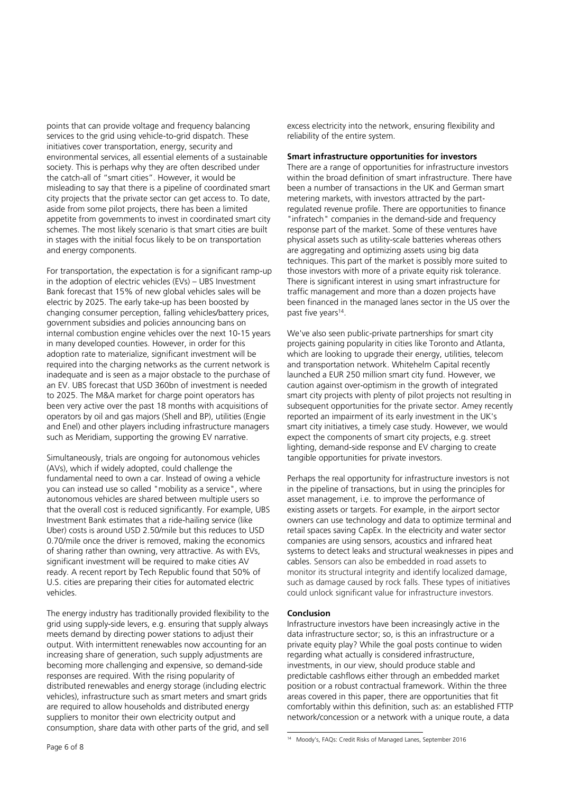points that can provide voltage and frequency balancing services to the grid using vehicle-to-grid dispatch. These initiatives cover transportation, energy, security and environmental services, all essential elements of a sustainable society. This is perhaps why they are often described under the catch-all of "smart cities". However, it would be misleading to say that there is a pipeline of coordinated smart city projects that the private sector can get access to. To date, aside from some pilot projects, there has been a limited appetite from governments to invest in coordinated smart city schemes. The most likely scenario is that smart cities are built in stages with the initial focus likely to be on transportation and energy components.

For transportation, the expectation is for a significant ramp-up in the adoption of electric vehicles (EVs) – UBS Investment Bank forecast that 15% of new global vehicles sales will be electric by 2025. The early take-up has been boosted by changing consumer perception, falling vehicles/battery prices, government subsidies and policies announcing bans on internal combustion engine vehicles over the next 10-15 years in many developed counties. However, in order for this adoption rate to materialize, significant investment will be required into the charging networks as the current network is inadequate and is seen as a major obstacle to the purchase of an EV. UBS forecast that USD 360bn of investment is needed to 2025. The M&A market for charge point operators has been very active over the past 18 months with acquisitions of operators by oil and gas majors (Shell and BP), utilities (Engie and Enel) and other players including infrastructure managers such as Meridiam, supporting the growing EV narrative.

Simultaneously, trials are ongoing for autonomous vehicles (AVs), which if widely adopted, could challenge the fundamental need to own a car. Instead of owing a vehicle you can instead use so called "mobility as a service", where autonomous vehicles are shared between multiple users so that the overall cost is reduced significantly. For example, UBS Investment Bank estimates that a ride-hailing service (like Uber) costs is around USD 2.50/mile but this reduces to USD 0.70/mile once the driver is removed, making the economics of sharing rather than owning, very attractive. As with EVs, significant investment will be required to make cities AV ready. A recent report by Tech Republic found that 50% of U.S. cities are preparing their cities for automated electric vehicles.

The energy industry has traditionally provided flexibility to the grid using supply-side levers, e.g. ensuring that supply always meets demand by directing power stations to adjust their output. With intermittent renewables now accounting for an increasing share of generation, such supply adjustments are becoming more challenging and expensive, so demand-side responses are required. With the rising popularity of distributed renewables and energy storage (including electric vehicles), infrastructure such as smart meters and smart grids are required to allow households and distributed energy suppliers to monitor their own electricity output and consumption, share data with other parts of the grid, and sell

#### **Smart infrastructure opportunities for investors**

There are a range of opportunities for infrastructure investors within the broad definition of smart infrastructure. There have been a number of transactions in the UK and German smart metering markets, with investors attracted by the partregulated revenue profile. There are opportunities to finance "infratech" companies in the demand-side and frequency response part of the market. Some of these ventures have physical assets such as utility-scale batteries whereas others are aggregating and optimizing assets using big data techniques. This part of the market is possibly more suited to those investors with more of a private equity risk tolerance. There is significant interest in using smart infrastructure for traffic management and more than a dozen projects have been financed in the managed lanes sector in the US over the past five years<sup>14</sup>.

We've also seen public-private partnerships for smart city projects gaining popularity in cities like Toronto and Atlanta, which are looking to upgrade their energy, utilities, telecom and transportation network. Whitehelm Capital recently launched a EUR 250 million smart city fund. However, we caution against over-optimism in the growth of integrated smart city projects with plenty of pilot projects not resulting in subsequent opportunities for the private sector. Amey recently reported an impairment of its early investment in the UK's smart city initiatives, a timely case study. However, we would expect the components of smart city projects, e.g. street lighting, demand-side response and EV charging to create tangible opportunities for private investors.

Perhaps the real opportunity for infrastructure investors is not in the pipeline of transactions, but in using the principles for asset management, i.e. to improve the performance of existing assets or targets. For example, in the airport sector owners can use technology and data to optimize terminal and retail spaces saving CapEx. In the electricity and water sector companies are using sensors, acoustics and infrared heat systems to detect leaks and structural weaknesses in pipes and cables. Sensors can also be embedded in road assets to monitor its structural integrity and identify localized damage, such as damage caused by rock falls. These types of initiatives could unlock significant value for infrastructure investors.

#### **Conclusion**

Infrastructure investors have been increasingly active in the data infrastructure sector; so, is this an infrastructure or a private equity play? While the goal posts continue to widen regarding what actually is considered infrastructure, investments, in our view, should produce stable and predictable cashflows either through an embedded market position or a robust contractual framework. Within the three areas covered in this paper, there are opportunities that fit comfortably within this definition, such as: an established FTTP network/concession or a network with a unique route, a data

 14 Moody's, FAQs: Credit Risks of Managed Lanes, September 2016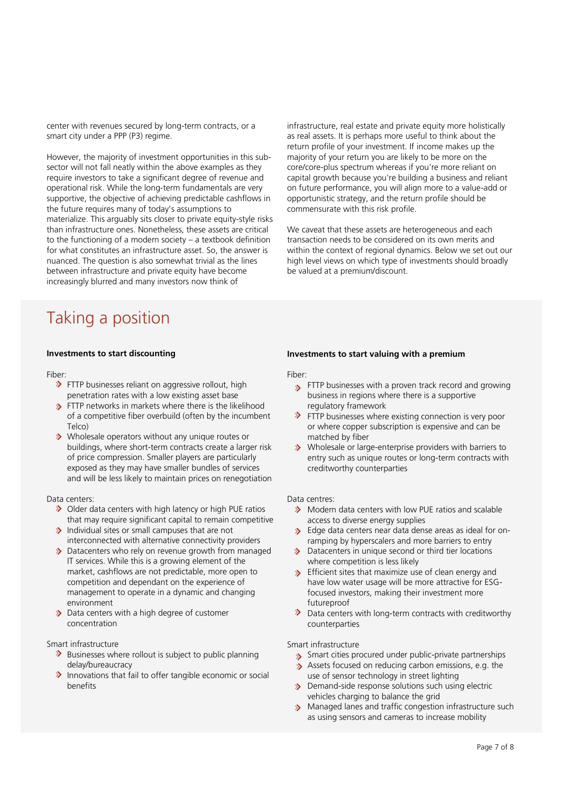center with revenues secured by long-term contracts, or a smart city under a PPP (P3) regime.

However, the majority of investment opportunities in this subsector will not fall neatly within the above examples as they require investors to take a significant degree of revenue and operational risk. While the long-term fundamentals are very supportive, the objective of achieving predictable cashflows in the future requires many of today's assumptions to materialize. This arguably sits closer to private equity-style risks than infrastructure ones. Nonetheless, these assets are critical to the functioning of a modern society – a textbook definition for what constitutes an infrastructure asset. So, the answer is nuanced. The question is also somewhat trivial as the lines between infrastructure and private equity have become increasingly blurred and many investors now think of

infrastructure, real estate and private equity more holistically as real assets. It is perhaps more useful to think about the return profile of your investment. If income makes up the majority of your return you are likely to be more on the core/core-plus spectrum whereas if you're more reliant on capital growth because you're building a business and reliant on future performance, you will align more to a value-add or opportunistic strategy, and the return profile should be commensurate with this risk profile.

We caveat that these assets are heterogeneous and each transaction needs to be considered on its own merits and within the context of regional dynamics. Below we set out our high level views on which type of investments should broadly be valued at a premium/discount.

# Taking a position

## **Investments to start discounting**

Fiber:

- THTP businesses reliant on aggressive rollout, high penetration rates with a low existing asset base
- **>** FTTP networks in markets where there is the likelihood of a competitive fiber overbuild (often by the incumbent Telco)
- **EXEC** Wholesale operators without any unique routes or buildings, where short-term contracts create a larger risk of price compression. Smaller players are particularly exposed as they may have smaller bundles of services and will be less likely to maintain prices on renegotiation

#### Data centers:

- ◆ Older data centers with high latency or high PUE ratios that may require significant capital to remain competitive
- $\sum$  Individual sites or small campuses that are not interconnected with alternative connectivity providers
- > Datacenters who rely on revenue growth from managed IT services. While this is a growing element of the market, cashflows are not predictable, more open to competition and dependant on the experience of management to operate in a dynamic and changing environment
- > Data centers with a high degree of customer concentration

Smart infrastructure

- $\blacktriangleright$  Businesses where rollout is subject to public planning delay/bureaucracy
- $\blacktriangleright$  Innovations that fail to offer tangible economic or social benefits

#### **Investments to start valuing with a premium**

Fiber:

- **S** FTTP businesses with a proven track record and growing business in regions where there is a supportive regulatory framework
- THE STRIP businesses where existing connection is very poor or where copper subscription is expensive and can be matched by fiber
- **EX** Wholesale or large-enterprise providers with barriers to entry such as unique routes or long-term contracts with creditworthy counterparties

#### Data centres:

- > Modern data centers with low PUE ratios and scalable access to diverse energy supplies
- > Edge data centers near data dense areas as ideal for onramping by hyperscalers and more barriers to entry
- $\mathbf{r}$ Datacenters in unique second or third tier locations where competition is less likely
- S Efficient sites that maximize use of clean energy and have low water usage will be more attractive for ESGfocused investors, making their investment more futureproof
- $\blacktriangleright$  Data centers with long-term contracts with creditworthy counterparties

## Smart infrastructure

- Smart cities procured under public-private partnerships
- Assets focused on reducing carbon emissions, e.g. the use of sensor technology in street lighting
- Demand-side response solutions such using electric vehicles charging to balance the grid
- > Managed lanes and traffic congestion infrastructure such as using sensors and cameras to increase mobility